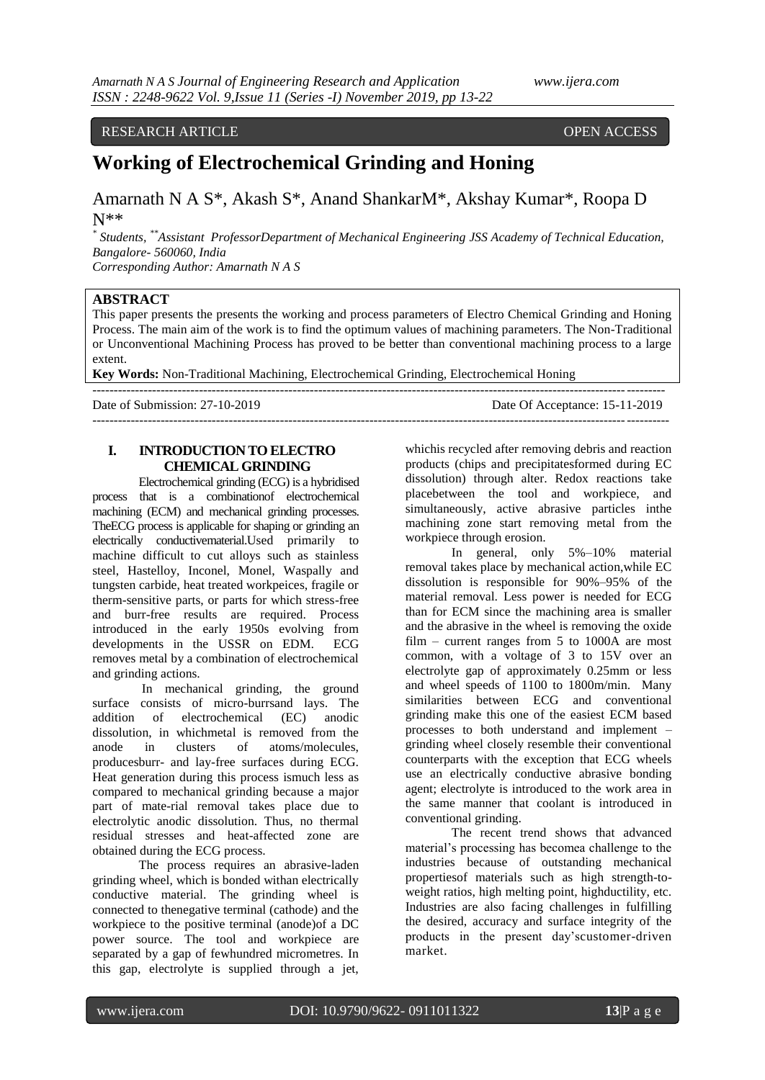## RESEARCH ARTICLE OPEN ACCESS

## **Working of Electrochemical Grinding and Honing**

Amarnath N A S\*, Akash S\*, Anand ShankarM\*, Akshay Kumar\*, Roopa D N\*\*

*\* Students, \*\*Assistant ProfessorDepartment of Mechanical Engineering JSS Academy of Technical Education, Bangalore- 560060, India Corresponding Author: Amarnath N A S*

#### **ABSTRACT**

This paper presents the presents the working and process parameters of Electro Chemical Grinding and Honing Process. The main aim of the work is to find the optimum values of machining parameters. The Non-Traditional or Unconventional Machining Process has proved to be better than conventional machining process to a large extent.

**Key Words:** Non-Traditional Machining, Electrochemical Grinding, Electrochemical Honing

| Date of Submission: 27-10-2019 | Date Of Acceptance: 15-11-2019 |
|--------------------------------|--------------------------------|
|                                |                                |

## **I. INTRODUCTION TO ELECTRO CHEMICAL GRINDING**

Electrochemical grinding (ECG) is a hybridised process that is a combinationof electrochemical machining (ECM) and mechanical grinding processes. TheECG process is applicable for shaping or grinding an electrically conductivematerial.Used primarily to machine difficult to cut alloys such as stainless steel, Hastelloy, Inconel, Monel, Waspally and tungsten carbide, heat treated workpeices, fragile or therm-sensitive parts, or parts for which stress-free and burr-free results are required. Process introduced in the early 1950s evolving from developments in the USSR on EDM. ECG removes metal by a combination of electrochemical and grinding actions.

In mechanical grinding, the ground surface consists of micro-burrsand lays. The addition of electrochemical (EC) anodic dissolution, in whichmetal is removed from the anode in clusters of atoms/molecules, producesburr- and lay-free surfaces during ECG. Heat generation during this process ismuch less as compared to mechanical grinding because a major part of mate-rial removal takes place due to electrolytic anodic dissolution. Thus, no thermal residual stresses and heat-affected zone are obtained during the ECG process.

The process requires an abrasive-laden grinding wheel, which is bonded withan electrically conductive material. The grinding wheel is connected to thenegative terminal (cathode) and the workpiece to the positive terminal (anode)of a DC power source. The tool and workpiece are separated by a gap of fewhundred micrometres. In this gap, electrolyte is supplied through a jet, whichis recycled after removing debris and reaction products (chips and precipitatesformed during EC dissolution) through alter. Redox reactions take placebetween the tool and workpiece, and simultaneously, active abrasive particles inthe machining zone start removing metal from the workpiece through erosion.

In general, only 5%–10% material removal takes place by mechanical action,while EC dissolution is responsible for 90%–95% of the material removal. Less power is needed for ECG than for ECM since the machining area is smaller and the abrasive in the wheel is removing the oxide film – current ranges from 5 to 1000A are most common, with a voltage of 3 to 15V over an electrolyte gap of approximately 0.25mm or less and wheel speeds of 1100 to 1800m/min. Many similarities between ECG and conventional grinding make this one of the easiest ECM based processes to both understand and implement – grinding wheel closely resemble their conventional counterparts with the exception that ECG wheels use an electrically conductive abrasive bonding agent; electrolyte is introduced to the work area in the same manner that coolant is introduced in conventional grinding.

The recent trend shows that advanced material's processing has becomea challenge to the industries because of outstanding mechanical propertiesof materials such as high strength-toweight ratios, high melting point, highductility, etc. Industries are also facing challenges in fulfilling the desired, accuracy and surface integrity of the products in the present day'scustomer-driven market.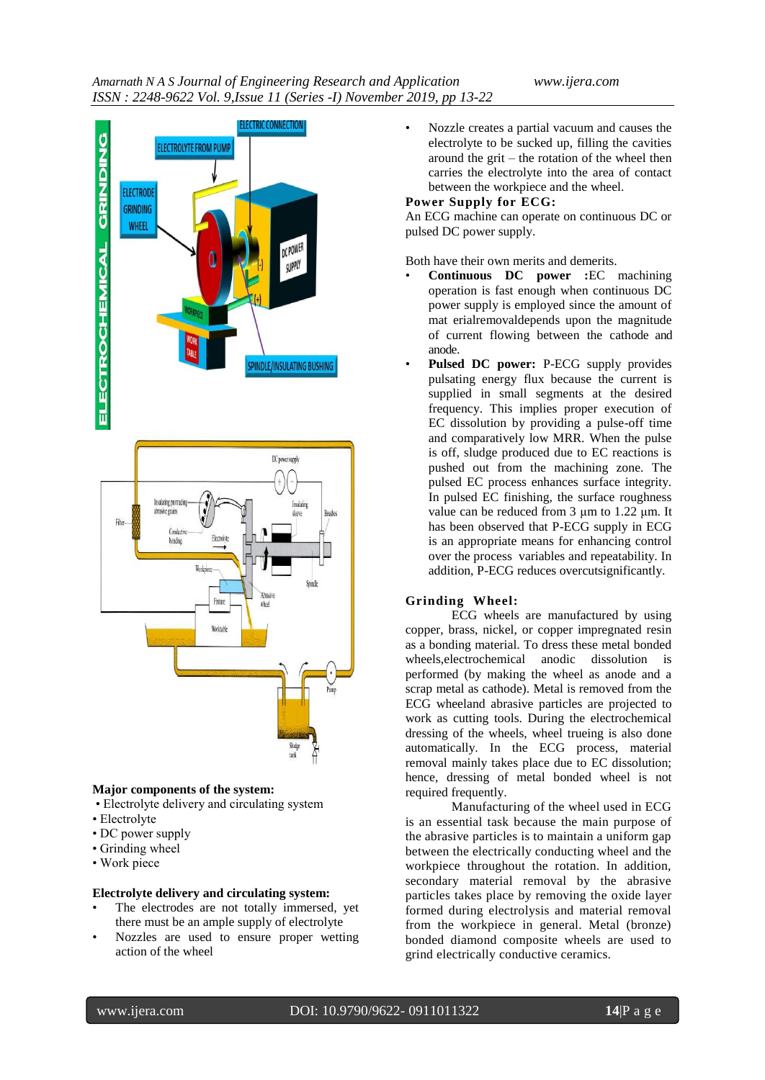

#### **Major components of the system:**

- Electrolyte delivery and circulating system
- Electrolyte
- DC power supply
- Grinding wheel
- Work piece

## **Electrolyte delivery and circulating system:**

- The electrodes are not totally immersed, yet there must be an ample supply of electrolyte
- Nozzles are used to ensure proper wetting action of the wheel

• Nozzle creates a partial vacuum and causes the electrolyte to be sucked up, filling the cavities around the grit – the rotation of the wheel then carries the electrolyte into the area of contact between the workpiece and the wheel.

## **Power Supply for ECG:**

An ECG machine can operate on continuous DC or pulsed DC power supply.

Both have their own merits and demerits.

- **Continuous DC power :**EC machining operation is fast enough when continuous DC power supply is employed since the amount of mat erialremovaldepends upon the magnitude of current flowing between the cathode and anode.
- **Pulsed DC power:** P-ECG supply provides pulsating energy flux because the current is supplied in small segments at the desired frequency. This implies proper execution of EC dissolution by providing a pulse-off time and comparatively low MRR. When the pulse is off, sludge produced due to EC reactions is pushed out from the machining zone. The pulsed EC process enhances surface integrity. In pulsed EC finishing, the surface roughness value can be reduced from 3 μm to 1.22 μm. It has been observed that P-ECG supply in ECG is an appropriate means for enhancing control over the process variables and repeatability. In addition, P-ECG reduces overcutsignificantly.

#### **Grinding Wheel:**

ECG wheels are manufactured by using copper, brass, nickel, or copper impregnated resin as a bonding material. To dress these metal bonded wheels,electrochemical anodic dissolution is performed (by making the wheel as anode and a scrap metal as cathode). Metal is removed from the ECG wheeland abrasive particles are projected to work as cutting tools. During the electrochemical dressing of the wheels, wheel trueing is also done automatically. In the ECG process, material removal mainly takes place due to EC dissolution; hence, dressing of metal bonded wheel is not required frequently.

Manufacturing of the wheel used in ECG is an essential task because the main purpose of the abrasive particles is to maintain a uniform gap between the electrically conducting wheel and the workpiece throughout the rotation. In addition, secondary material removal by the abrasive particles takes place by removing the oxide layer formed during electrolysis and material removal from the workpiece in general. Metal (bronze) bonded diamond composite wheels are used to grind electrically conductive ceramics.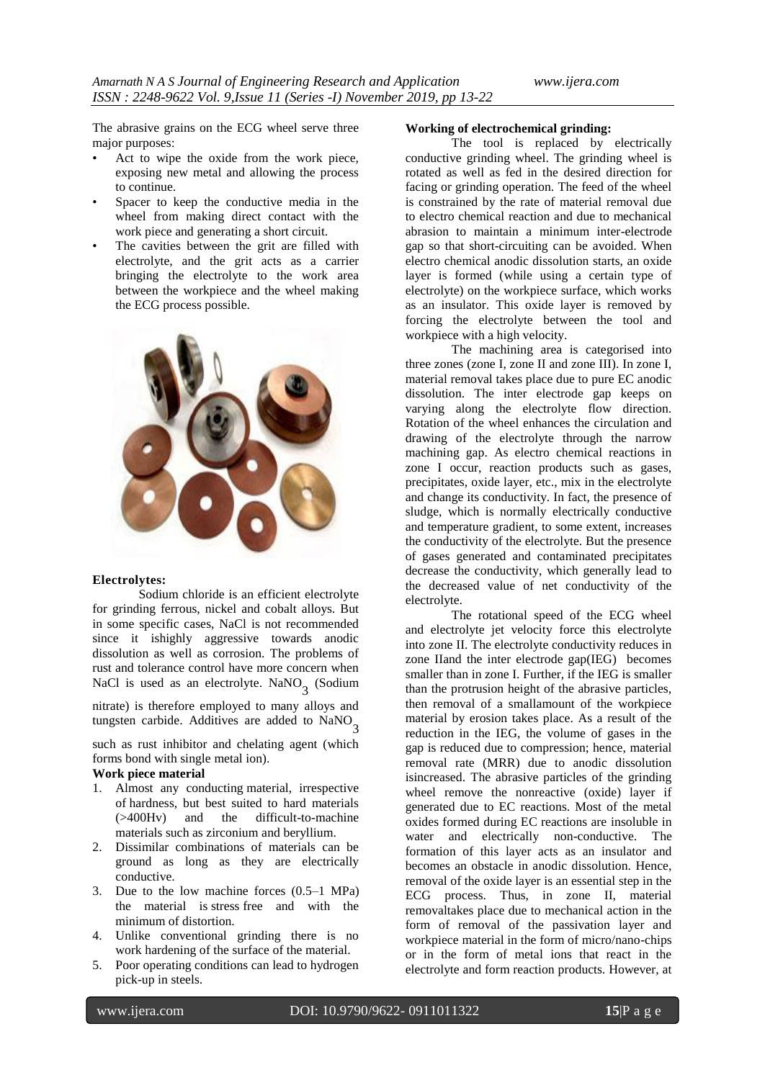The abrasive grains on the ECG wheel serve three major purposes:

- Act to wipe the oxide from the work piece, exposing new metal and allowing the process to continue.
- Spacer to keep the conductive media in the wheel from making direct contact with the work piece and generating a short circuit.
- The cavities between the grit are filled with electrolyte, and the grit acts as a carrier bringing the electrolyte to the work area between the workpiece and the wheel making the ECG process possible.



#### **Electrolytes:**

Sodium chloride is an efficient electrolyte for grinding ferrous, nickel and cobalt alloys. But in some specific cases, NaCl is not recommended since it ishighly aggressive towards anodic dissolution as well as corrosion. The problems of rust and tolerance control have more concern when NaCl is used as an electrolyte. NaNO<sub>3</sub> (Sodium

nitrate) is therefore employed to many alloys and tungsten carbide. Additives are added to  $\text{NaNO}_3$ 

such as rust inhibitor and chelating agent (which forms bond with single metal ion).

#### **Work piece material**

- 1. Almost any conducting material, irrespective of hardness, but best suited to hard materials (>400Hv) and the difficult-to-machine materials such as zirconium and beryllium.
- 2. Dissimilar combinations of materials can be ground as long as they are electrically conductive.
- 3. Due to the low machine forces (0.5–1 MPa) the material is stress free and with the minimum of distortion.
- 4. Unlike conventional grinding there is no work hardening of the surface of the material.
- 5. Poor operating conditions can lead to hydrogen pick-up in steels.

#### **Working of electrochemical grinding:**

The tool is replaced by electrically conductive grinding wheel. The grinding wheel is rotated as well as fed in the desired direction for facing or grinding operation. The feed of the wheel is constrained by the rate of material removal due to electro chemical reaction and due to mechanical abrasion to maintain a minimum inter-electrode gap so that short-circuiting can be avoided. When electro chemical anodic dissolution starts, an oxide layer is formed (while using a certain type of electrolyte) on the workpiece surface, which works as an insulator. This oxide layer is removed by forcing the electrolyte between the tool and workpiece with a high velocity.

The machining area is categorised into three zones (zone I, zone II and zone III). In zone I, material removal takes place due to pure EC anodic dissolution. The inter electrode gap keeps on varying along the electrolyte flow direction. Rotation of the wheel enhances the circulation and drawing of the electrolyte through the narrow machining gap. As electro chemical reactions in zone I occur, reaction products such as gases, precipitates, oxide layer, etc., mix in the electrolyte and change its conductivity. In fact, the presence of sludge, which is normally electrically conductive and temperature gradient, to some extent, increases the conductivity of the electrolyte. But the presence of gases generated and contaminated precipitates decrease the conductivity, which generally lead to the decreased value of net conductivity of the electrolyte.

The rotational speed of the ECG wheel and electrolyte jet velocity force this electrolyte into zone II. The electrolyte conductivity reduces in zone IIand the inter electrode gap(IEG) becomes smaller than in zone I. Further, if the IEG is smaller than the protrusion height of the abrasive particles, then removal of a smallamount of the workpiece material by erosion takes place. As a result of the reduction in the IEG, the volume of gases in the gap is reduced due to compression; hence, material removal rate (MRR) due to anodic dissolution isincreased. The abrasive particles of the grinding wheel remove the nonreactive (oxide) layer if generated due to EC reactions. Most of the metal oxides formed during EC reactions are insoluble in water and electrically non-conductive. The formation of this layer acts as an insulator and becomes an obstacle in anodic dissolution. Hence, removal of the oxide layer is an essential step in the ECG process. Thus, in zone II, material removaltakes place due to mechanical action in the form of removal of the passivation layer and workpiece material in the form of micro/nano-chips or in the form of metal ions that react in the electrolyte and form reaction products. However, at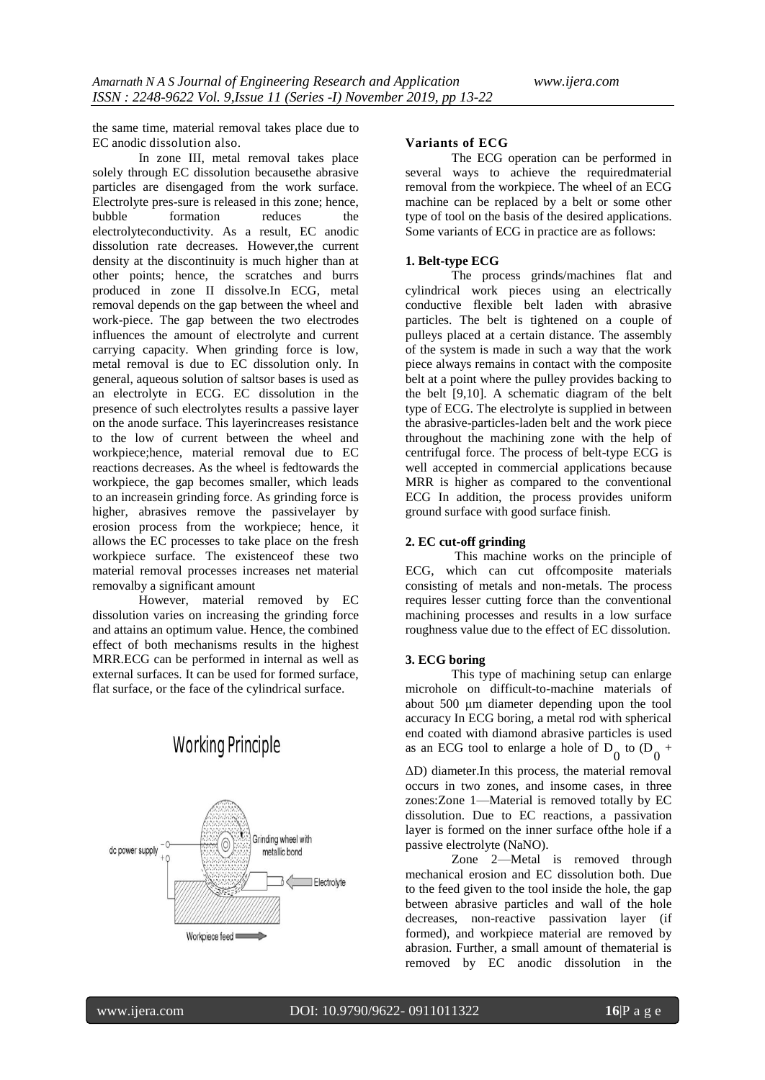the same time, material removal takes place due to EC anodic dissolution also.

In zone III, metal removal takes place solely through EC dissolution becausethe abrasive particles are disengaged from the work surface. Electrolyte pres-sure is released in this zone; hence, bubble formation reduces the electrolyteconductivity. As a result, EC anodic dissolution rate decreases. However,the current density at the discontinuity is much higher than at other points; hence, the scratches and burrs produced in zone II dissolve.In ECG, metal removal depends on the gap between the wheel and work-piece. The gap between the two electrodes influences the amount of electrolyte and current carrying capacity. When grinding force is low, metal removal is due to EC dissolution only. In general, aqueous solution of saltsor bases is used as an electrolyte in ECG. EC dissolution in the presence of such electrolytes results a passive layer on the anode surface. This layerincreases resistance to the low of current between the wheel and workpiece;hence, material removal due to EC reactions decreases. As the wheel is fedtowards the workpiece, the gap becomes smaller, which leads to an increasein grinding force. As grinding force is higher, abrasives remove the passivelayer by erosion process from the workpiece; hence, it allows the EC processes to take place on the fresh workpiece surface. The existenceof these two material removal processes increases net material removalby a significant amount

However, material removed by EC dissolution varies on increasing the grinding force and attains an optimum value. Hence, the combined effect of both mechanisms results in the highest MRR.ECG can be performed in internal as well as external surfaces. It can be used for formed surface, flat surface, or the face of the cylindrical surface.



# **Working Principle**

#### **Variants of ECG**

The ECG operation can be performed in several ways to achieve the requiredmaterial removal from the workpiece. The wheel of an ECG machine can be replaced by a belt or some other type of tool on the basis of the desired applications. Some variants of ECG in practice are as follows:

#### **1. Belt-type ECG**

The process grinds/machines flat and cylindrical work pieces using an electrically conductive flexible belt laden with abrasive particles. The belt is tightened on a couple of pulleys placed at a certain distance. The assembly of the system is made in such a way that the work piece always remains in contact with the composite belt at a point where the pulley provides backing to the belt [9,10]. A schematic diagram of the belt type of ECG. The electrolyte is supplied in between the abrasive-particles-laden belt and the work piece throughout the machining zone with the help of centrifugal force. The process of belt-type ECG is well accepted in commercial applications because MRR is higher as compared to the conventional ECG In addition, the process provides uniform ground surface with good surface finish.

#### **2. EC cut-off grinding**

This machine works on the principle of ECG, which can cut offcomposite materials consisting of metals and non-metals. The process requires lesser cutting force than the conventional machining processes and results in a low surface roughness value due to the effect of EC dissolution.

#### **3. ECG boring**

This type of machining setup can enlarge microhole on difficult-to-machine materials of about 500 μm diameter depending upon the tool accuracy In ECG boring, a metal rod with spherical end coated with diamond abrasive particles is used as an ECG tool to enlarge a hole of  $D_0$  to  $(D_0 +$ 

ΔD) diameter.In this process, the material removal occurs in two zones, and insome cases, in three zones:Zone 1—Material is removed totally by EC dissolution. Due to EC reactions, a passivation layer is formed on the inner surface ofthe hole if a passive electrolyte (NaNO).

Zone 2—Metal is removed through mechanical erosion and EC dissolution both. Due to the feed given to the tool inside the hole, the gap between abrasive particles and wall of the hole decreases, non-reactive passivation layer (if formed), and workpiece material are removed by abrasion. Further, a small amount of thematerial is removed by EC anodic dissolution in the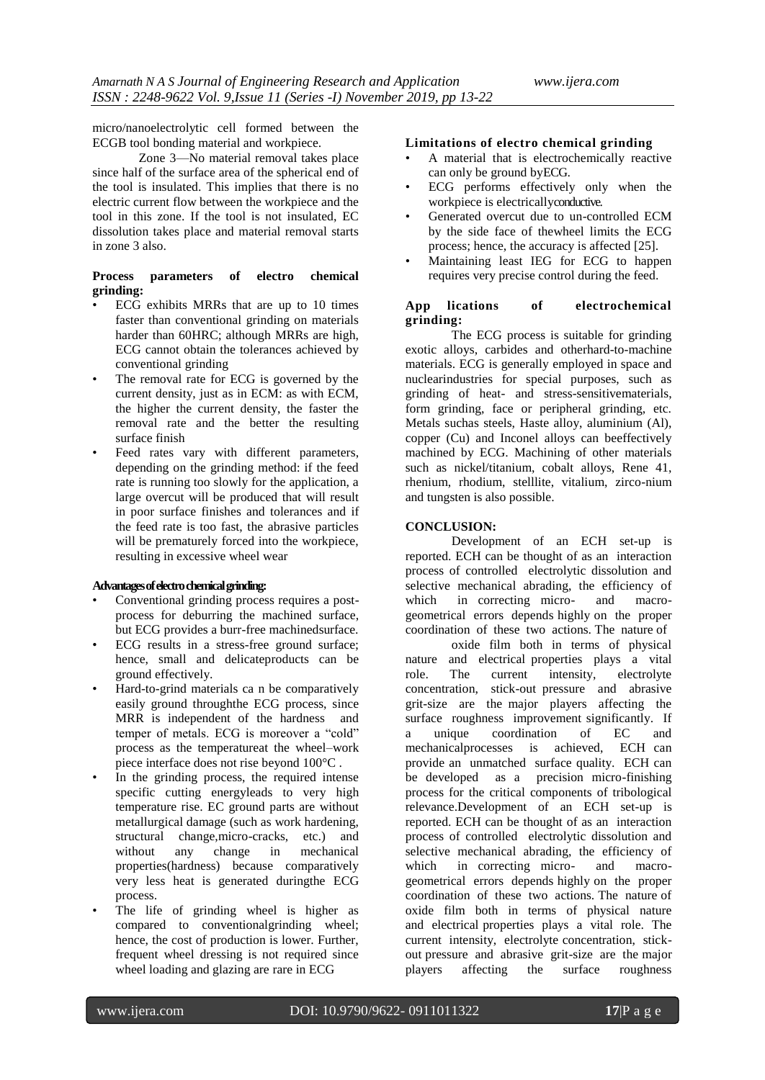micro/nanoelectrolytic cell formed between the ECGB tool bonding material and workpiece.

Zone 3—No material removal takes place since half of the surface area of the spherical end of the tool is insulated. This implies that there is no electric current flow between the workpiece and the tool in this zone. If the tool is not insulated, EC dissolution takes place and material removal starts in zone 3 also.

## **Process parameters of electro chemical grinding:**

- ECG exhibits MRRs that are up to 10 times faster than conventional grinding on materials harder than 60HRC; although MRRs are high, ECG cannot obtain the tolerances achieved by conventional grinding
- The removal rate for ECG is governed by the current density, just as in ECM: as with ECM, the higher the current density, the faster the removal rate and the better the resulting surface finish
- Feed rates vary with different parameters, depending on the grinding method: if the feed rate is running too slowly for the application, a large overcut will be produced that will result in poor surface finishes and tolerances and if the feed rate is too fast, the abrasive particles will be prematurely forced into the workpiece, resulting in excessive wheel wear

#### **Advantages of electro chemical grinding:**

- Conventional grinding process requires a postprocess for deburring the machined surface, but ECG provides a burr-free machinedsurface.
- ECG results in a stress-free ground surface; hence, small and delicateproducts can be ground effectively.
- Hard-to-grind materials ca n be comparatively easily ground throughthe ECG process, since MRR is independent of the hardness and temper of metals. ECG is moreover a "cold" process as the temperatureat the wheel–work piece interface does not rise beyond 100°C .
- In the grinding process, the required intense specific cutting energyleads to very high temperature rise. EC ground parts are without metallurgical damage (such as work hardening, structural change,micro-cracks, etc.) and without any change in mechanical properties(hardness) because comparatively very less heat is generated duringthe ECG process.
- The life of grinding wheel is higher as compared to conventionalgrinding wheel; hence, the cost of production is lower. Further, frequent wheel dressing is not required since wheel loading and glazing are rare in ECG

#### **Limitations of electro chemical grinding**

- A material that is electrochemically reactive can only be ground byECG.
- ECG performs effectively only when the workpiece is electricallyconductive.
- Generated overcut due to un-controlled ECM by the side face of thewheel limits the ECG process; hence, the accuracy is affected [25].
- Maintaining least IEG for ECG to happen requires very precise control during the feed.

#### **App lications of electrochemical grinding:**

The ECG process is suitable for grinding exotic alloys, carbides and otherhard-to-machine materials. ECG is generally employed in space and nuclearindustries for special purposes, such as grinding of heat- and stress-sensitivematerials, form grinding, face or peripheral grinding, etc. Metals suchas steels, Haste alloy, aluminium (Al), copper (Cu) and Inconel alloys can beeffectively machined by ECG. Machining of other materials such as nickel/titanium, cobalt alloys, Rene 41, rhenium, rhodium, stelllite, vitalium, zirco-nium and tungsten is also possible.

#### **CONCLUSION:**

Development of an ECH set-up is reported. ECH can be thought of as an interaction process of controlled electrolytic dissolution and selective mechanical abrading, the efficiency of which in correcting micro- and macrogeometrical errors depends highly on the proper coordination of these two actions. The nature of

oxide film both in terms of physical nature and electrical properties plays a vital role. The current intensity, electrolyte concentration, stick-out pressure and abrasive grit-size are the major players affecting the surface roughness improvement significantly. If a unique coordination of EC and mechanicalprocesses is achieved, ECH can provide an unmatched surface quality. ECH can be developed as a precision micro-finishing process for the critical components of tribological relevance.Development of an ECH set-up is reported. ECH can be thought of as an interaction process of controlled electrolytic dissolution and selective mechanical abrading, the efficiency of which in correcting micro- and macrogeometrical errors depends highly on the proper coordination of these two actions. The nature of oxide film both in terms of physical nature and electrical properties plays a vital role. The current intensity, electrolyte concentration, stickout pressure and abrasive grit-size are the major players affecting the surface roughness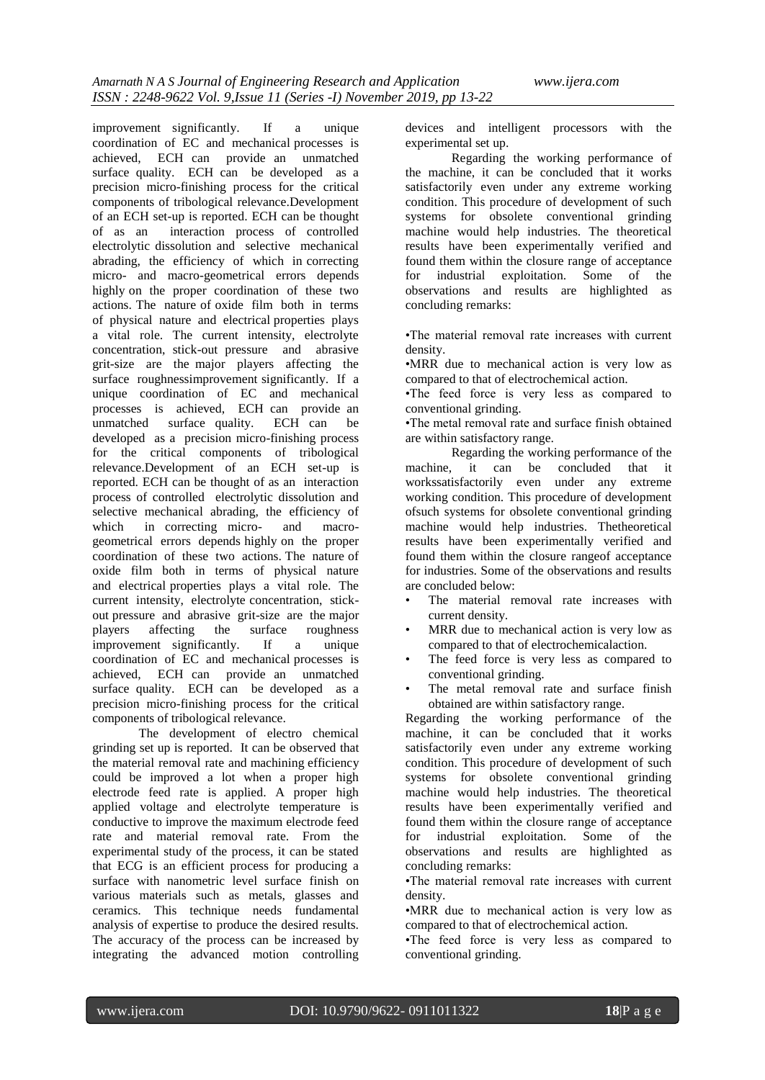improvement significantly. If a unique coordination of EC and mechanical processes is achieved, ECH can provide an unmatched surface quality. ECH can be developed as a precision micro-finishing process for the critical components of tribological relevance.Development of an ECH set-up is reported. ECH can be thought of as an interaction process of controlled electrolytic dissolution and selective mechanical abrading, the efficiency of which in correcting micro- and macro-geometrical errors depends highly on the proper coordination of these two actions. The nature of oxide film both in terms of physical nature and electrical properties plays a vital role. The current intensity, electrolyte concentration, stick-out pressure and abrasive grit-size are the major players affecting the surface roughnessimprovement significantly. If a unique coordination of EC and mechanical processes is achieved, ECH can provide an unmatched surface quality. ECH can be developed as a precision micro-finishing process for the critical components of tribological relevance.Development of an ECH set-up is reported. ECH can be thought of as an interaction process of controlled electrolytic dissolution and selective mechanical abrading, the efficiency of which in correcting micro- and macrogeometrical errors depends highly on the proper coordination of these two actions. The nature of oxide film both in terms of physical nature and electrical properties plays a vital role. The current intensity, electrolyte concentration, stickout pressure and abrasive grit-size are the major players affecting the surface roughness improvement significantly. If a unique coordination of EC and mechanical processes is achieved, ECH can provide an unmatched surface quality. ECH can be developed as a precision micro-finishing process for the critical components of tribological relevance.

The development of electro chemical grinding set up is reported. It can be observed that the material removal rate and machining efficiency could be improved a lot when a proper high electrode feed rate is applied. A proper high applied voltage and electrolyte temperature is conductive to improve the maximum electrode feed rate and material removal rate. From the experimental study of the process, it can be stated that ECG is an efficient process for producing a surface with nanometric level surface finish on various materials such as metals, glasses and ceramics. This technique needs fundamental analysis of expertise to produce the desired results. The accuracy of the process can be increased by integrating the advanced motion controlling

devices and intelligent processors with the experimental set up.

Regarding the working performance of the machine, it can be concluded that it works satisfactorily even under any extreme working condition. This procedure of development of such systems for obsolete conventional grinding machine would help industries. The theoretical results have been experimentally verified and found them within the closure range of acceptance for industrial exploitation. Some of the observations and results are highlighted as concluding remarks:

•The material removal rate increases with current density.

•MRR due to mechanical action is very low as compared to that of electrochemical action.

•The feed force is very less as compared to conventional grinding.

•The metal removal rate and surface finish obtained are within satisfactory range.

Regarding the working performance of the machine, it can be concluded that it workssatisfactorily even under any extreme working condition. This procedure of development ofsuch systems for obsolete conventional grinding machine would help industries. Thetheoretical results have been experimentally verified and found them within the closure rangeof acceptance for industries. Some of the observations and results are concluded below:

- The material removal rate increases with current density.
- MRR due to mechanical action is very low as compared to that of electrochemicalaction.
- The feed force is very less as compared to conventional grinding.
- The metal removal rate and surface finish obtained are within satisfactory range.

Regarding the working performance of the machine, it can be concluded that it works satisfactorily even under any extreme working condition. This procedure of development of such systems for obsolete conventional grinding machine would help industries. The theoretical results have been experimentally verified and found them within the closure range of acceptance for industrial exploitation. Some of the observations and results are highlighted as concluding remarks:

•The material removal rate increases with current density.

•MRR due to mechanical action is very low as compared to that of electrochemical action.

•The feed force is very less as compared to conventional grinding.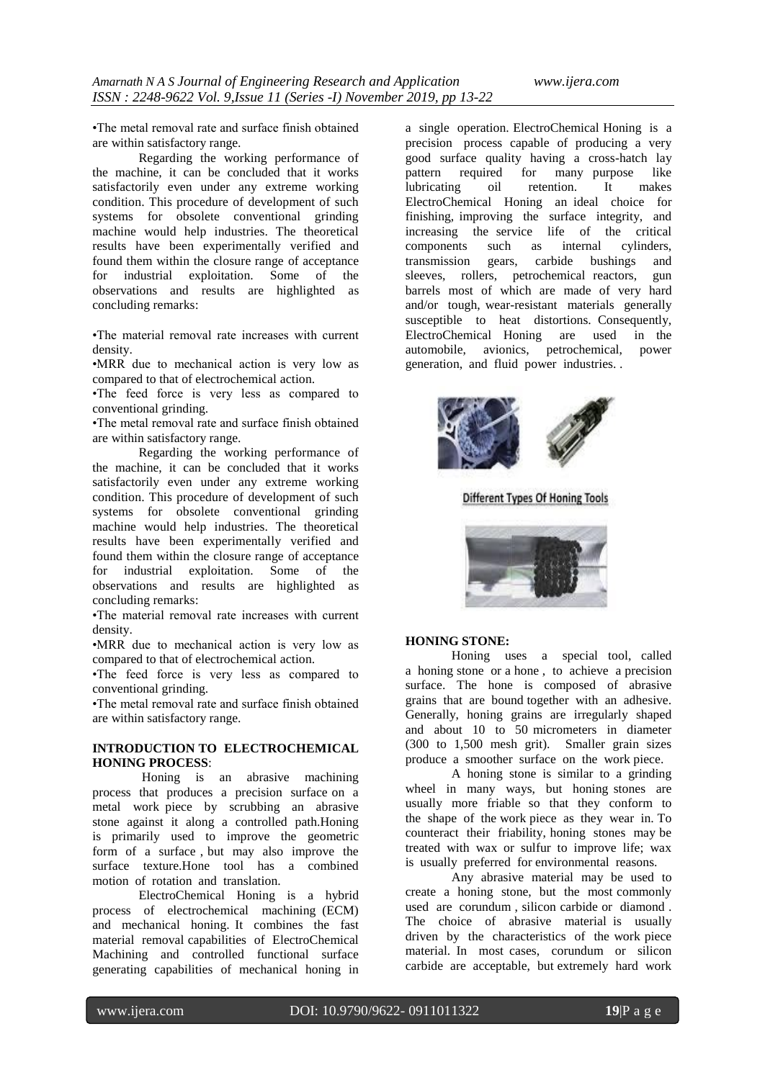•The metal removal rate and surface finish obtained are within satisfactory range.

Regarding the working performance of the machine, it can be concluded that it works satisfactorily even under any extreme working condition. This procedure of development of such systems for obsolete conventional grinding machine would help industries. The theoretical results have been experimentally verified and found them within the closure range of acceptance for industrial exploitation. Some of the observations and results are highlighted as concluding remarks:

•The material removal rate increases with current density.

•MRR due to mechanical action is very low as compared to that of electrochemical action.

•The feed force is very less as compared to conventional grinding.

•The metal removal rate and surface finish obtained are within satisfactory range.

Regarding the working performance of the machine, it can be concluded that it works satisfactorily even under any extreme working condition. This procedure of development of such systems for obsolete conventional grinding machine would help industries. The theoretical results have been experimentally verified and found them within the closure range of acceptance for industrial exploitation. Some of the observations and results are highlighted as concluding remarks:

•The material removal rate increases with current density.

•MRR due to mechanical action is very low as compared to that of electrochemical action.

•The feed force is very less as compared to conventional grinding.

•The metal removal rate and surface finish obtained are within satisfactory range.

#### **INTRODUCTION TO ELECTROCHEMICAL HONING PROCESS**:

Honing is an abrasive machining process that produces a precision surface on a metal work piece by scrubbing an abrasive stone against it along a controlled path.Honing is primarily used to improve the geometric form of a surface , but may also improve the surface texture.Hone tool has a combined motion of rotation and translation.

ElectroChemical Honing is a hybrid process of electrochemical machining (ECM) and mechanical honing. It combines the fast material removal capabilities of ElectroChemical Machining and controlled functional surface generating capabilities of mechanical honing in a single operation. ElectroChemical Honing is a precision process capable of producing a very good surface quality having a cross-hatch lay pattern required for many purpose like lubricating oil retention. It makes ElectroChemical Honing an ideal choice for finishing, improving the surface integrity, and increasing the service life of the critical components such as internal cylinders, transmission gears, carbide bushings and sleeves, rollers, petrochemical reactors, gun barrels most of which are made of very hard and/or tough, wear-resistant materials generally susceptible to heat distortions. Consequently, ElectroChemical Honing are used in the automobile, avionics, petrochemical, power generation, and fluid power industries. .



**Different Types Of Honing Tools** 



#### **HONING STONE:**

Honing uses a special tool, called a honing stone or a hone , to achieve a precision surface. The hone is composed of abrasive grains that are bound together with an adhesive. Generally, honing grains are irregularly shaped and about 10 to 50 micrometers in diameter (300 to 1,500 mesh grit). Smaller grain sizes produce a smoother surface on the work piece.

A honing stone is similar to a grinding wheel in many ways, but honing stones are usually more friable so that they conform to the shape of the work piece as they wear in. To counteract their friability, honing stones may be treated with wax or sulfur to improve life; wax is usually preferred for environmental reasons.

Any abrasive material may be used to create a honing stone, but the most commonly used are corundum , silicon carbide or diamond . The choice of abrasive material is usually driven by the characteristics of the work piece material. In most cases, corundum or silicon carbide are acceptable, but extremely hard work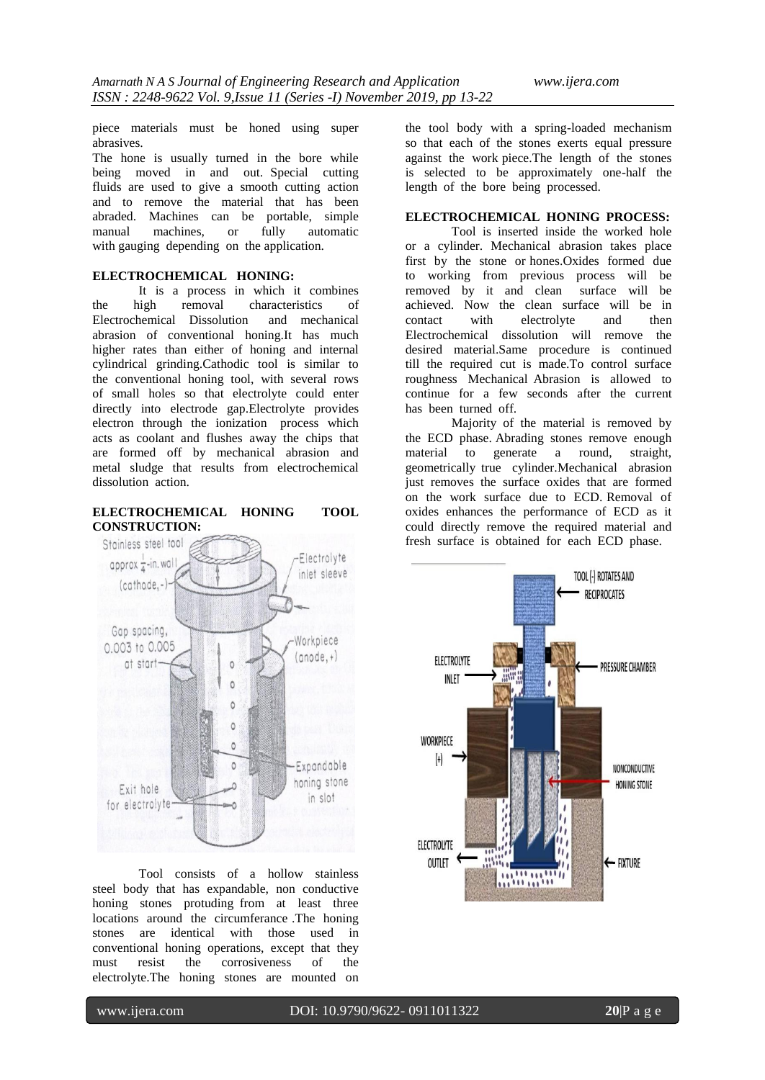piece materials must be honed using super abrasives.

The hone is usually turned in the bore while being moved in and out. Special cutting fluids are used to give a smooth cutting action and to remove the material that has been abraded. Machines can be portable, simple manual machines, or fully with gauging depending on the application.

#### **ELECTROCHEMICAL HONING:**

It is a process in which it combines the high removal characteristics of Electrochemical Dissolution and mechanical abrasion of conventional honing.It has much higher rates than either of honing and internal cylindrical grinding.Cathodic tool is similar to the conventional honing tool, with several rows of small holes so that electrolyte could enter directly into electrode gap.Electrolyte provides electron through the ionization process which acts as coolant and flushes away the chips that are formed off by mechanical abrasion and metal sludge that results from electrochemical dissolution action.

**ELECTROCHEMICAL HONING TOOL CONSTRUCTION:**



Tool consists of a hollow stainless steel body that has expandable, non conductive honing stones protuding from at least three locations around the circumferance .The honing stones are identical with those used in conventional honing operations, except that they must resist the corrosiveness of the electrolyte.The honing stones are mounted on the tool body with a spring-loaded mechanism so that each of the stones exerts equal pressure against the work piece.The length of the stones is selected to be approximately one-half the length of the bore being processed.

## **ELECTROCHEMICAL HONING PROCESS:**

Tool is inserted inside the worked hole or a cylinder. Mechanical abrasion takes place first by the stone or hones.Oxides formed due to working from previous process will be removed by it and clean surface will be achieved. Now the clean surface will be in contact with electrolyte and then Electrochemical dissolution will remove the desired material.Same procedure is continued till the required cut is made.To control surface roughness Mechanical Abrasion is allowed to continue for a few seconds after the current has been turned off.

Majority of the material is removed by the ECD phase. Abrading stones remove enough material to generate a round, straight, geometrically true cylinder.Mechanical abrasion just removes the surface oxides that are formed on the work surface due to ECD. Removal of oxides enhances the performance of ECD as it could directly remove the required material and fresh surface is obtained for each ECD phase.

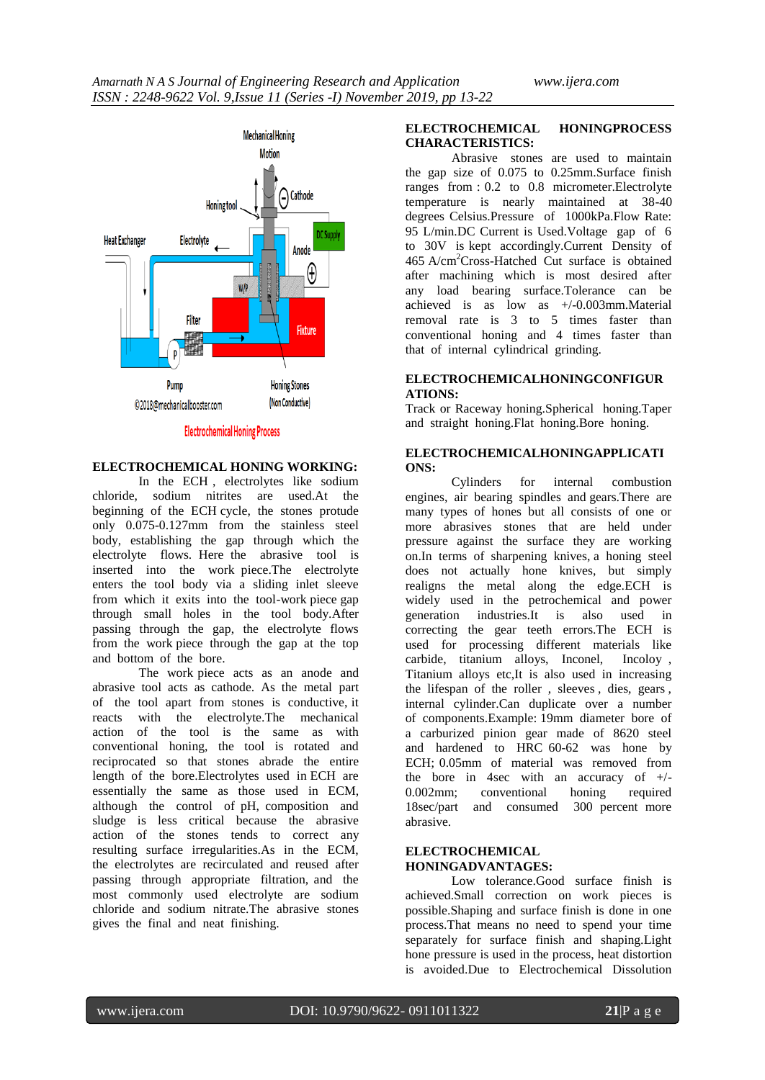

## **Electrochemical Honing Process**

## **ELECTROCHEMICAL HONING WORKING:**

In the ECH , electrolytes like sodium chloride, sodium nitrites are used.At the beginning of the ECH cycle, the stones protude only 0.075-0.127mm from the stainless steel body, establishing the gap through which the electrolyte flows. Here the abrasive tool is inserted into the work piece.The electrolyte enters the tool body via a sliding inlet sleeve from which it exits into the tool-work piece gap through small holes in the tool body.After passing through the gap, the electrolyte flows from the work piece through the gap at the top and bottom of the bore.

The work piece acts as an anode and abrasive tool acts as cathode. As the metal part of the tool apart from stones is conductive, it reacts with the electrolyte.The mechanical action of the tool is the same as with conventional honing, the tool is rotated and reciprocated so that stones abrade the entire length of the bore.Electrolytes used in ECH are essentially the same as those used in ECM, although the control of pH, composition and sludge is less critical because the abrasive action of the stones tends to correct any resulting surface irregularities.As in the ECM, the electrolytes are recirculated and reused after passing through appropriate filtration, and the most commonly used electrolyte are sodium chloride and sodium nitrate.The abrasive stones gives the final and neat finishing.

#### **ELECTROCHEMICAL HONINGPROCESS CHARACTERISTICS:**

Abrasive stones are used to maintain the gap size of 0.075 to 0.25mm.Surface finish ranges from : 0.2 to 0.8 micrometer.Electrolyte temperature is nearly maintained at 38-40 degrees Celsius.Pressure of 1000kPa.Flow Rate: 95 L/min.DC Current is Used.Voltage gap of 6 to 30V is kept accordingly.Current Density of 465 A/cm<sup>2</sup>Cross-Hatched Cut surface is obtained after machining which is most desired after any load bearing surface.Tolerance can be achieved is as low as +/-0.003mm.Material removal rate is 3 to 5 times faster than conventional honing and 4 times faster than that of internal cylindrical grinding.

#### **ELECTROCHEMICALHONINGCONFIGUR ATIONS:**

Track or Raceway honing.Spherical honing.Taper and straight honing.Flat honing.Bore honing.

#### **ELECTROCHEMICALHONINGAPPLICATI ONS:**

Cylinders for internal combustion engines, air bearing spindles and gears.There are many types of hones but all consists of one or more abrasives stones that are held under pressure against the surface they are working on.In terms of sharpening knives, a honing steel does not actually hone knives, but simply realigns the metal along the edge.ECH is widely used in the petrochemical and power generation industries.It is also used in correcting the gear teeth errors.The ECH is used for processing different materials like carbide, titanium alloys, Inconel, Incoloy , Titanium alloys etc,It is also used in increasing the lifespan of the roller , sleeves , dies, gears , internal cylinder.Can duplicate over a number of components.Example: 19mm diameter bore of a carburized pinion gear made of 8620 steel and hardened to HRC 60-62 was hone by ECH; 0.05mm of material was removed from the bore in 4sec with an accuracy of  $+/-$ 0.002mm; conventional honing required 18sec/part and consumed 300 percent more abrasive.

## **ELECTROCHEMICAL HONINGADVANTAGES:**

Low tolerance.Good surface finish is achieved.Small correction on work pieces is possible.Shaping and surface finish is done in one process.That means no need to spend your time separately for surface finish and shaping.Light hone pressure is used in the process, heat distortion is avoided.Due to Electrochemical Dissolution